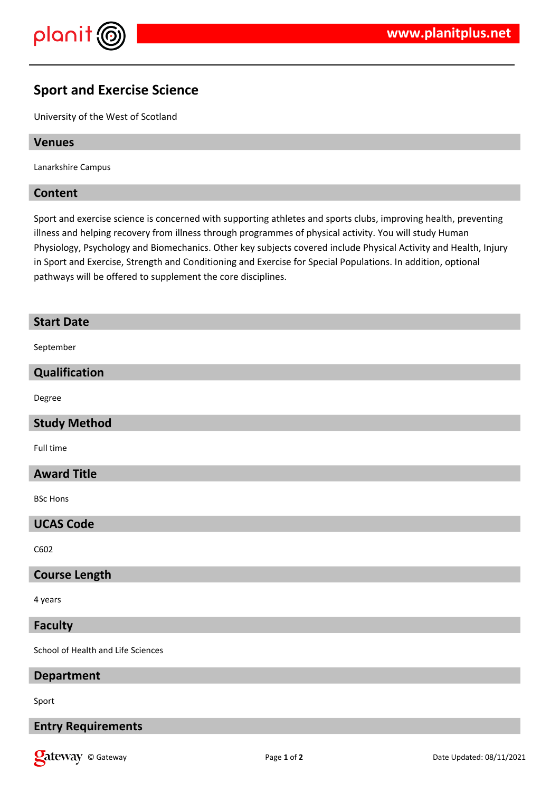

# **Sport and Exercise Science**

University of the West of Scotland

# **Venues**

Lanarkshire Campus

# **Content**

Sport and exercise science is concerned with supporting athletes and sports clubs, improving health, preventing illness and helping recovery from illness through programmes of physical activity. You will study Human Physiology, Psychology and Biomechanics. Other key subjects covered include Physical Activity and Health, Injury in Sport and Exercise, Strength and Conditioning and Exercise for Special Populations. In addition, optional pathways will be offered to supplement the core disciplines.

# **Start Date**

September

# **Qualification**

Degree

# **Study Method**

Full time

# **Award Title**

BSc Hons

#### **UCAS Code**

C602

### **Course Length**

4 years

### **Faculty**

School of Health and Life Sciences

#### **Department**

Sport

# **Entry Requirements**

**Onder Street Associated: 08/11/2021** Page 1 of 2 **Page 1** of 2